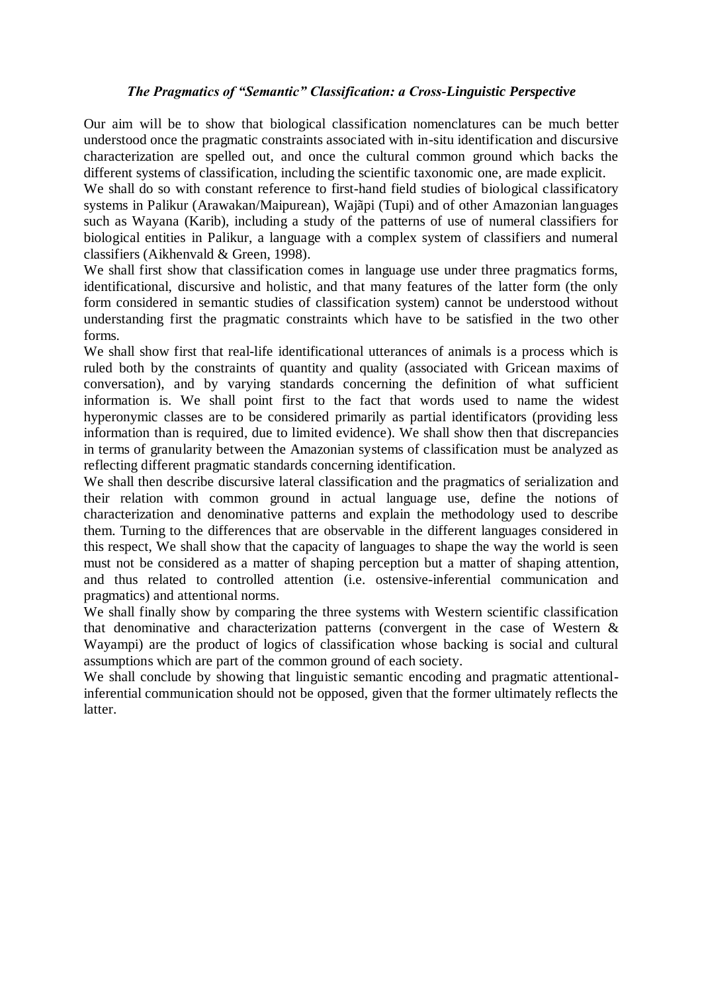## *The Pragmatics of "Semantic" Classification: a Cross-Linguistic Perspective*

Our aim will be to show that biological classification nomenclatures can be much better understood once the pragmatic constraints associated with in-situ identification and discursive characterization are spelled out, and once the cultural common ground which backs the different systems of classification, including the scientific taxonomic one, are made explicit.

We shall do so with constant reference to first-hand field studies of biological classificatory systems in Palikur (Arawakan/Maipurean), Wajãpi (Tupi) and of other Amazonian languages such as Wayana (Karib), including a study of the patterns of use of numeral classifiers for biological entities in Palikur, a language with a complex system of classifiers and numeral classifiers (Aikhenvald & Green, 1998).

We shall first show that classification comes in language use under three pragmatics forms, identificational, discursive and holistic, and that many features of the latter form (the only form considered in semantic studies of classification system) cannot be understood without understanding first the pragmatic constraints which have to be satisfied in the two other forms.

We shall show first that real-life identificational utterances of animals is a process which is ruled both by the constraints of quantity and quality (associated with Gricean maxims of conversation), and by varying standards concerning the definition of what sufficient information is. We shall point first to the fact that words used to name the widest hyperonymic classes are to be considered primarily as partial identificators (providing less information than is required, due to limited evidence). We shall show then that discrepancies in terms of granularity between the Amazonian systems of classification must be analyzed as reflecting different pragmatic standards concerning identification.

We shall then describe discursive lateral classification and the pragmatics of serialization and their relation with common ground in actual language use, define the notions of characterization and denominative patterns and explain the methodology used to describe them. Turning to the differences that are observable in the different languages considered in this respect, We shall show that the capacity of languages to shape the way the world is seen must not be considered as a matter of shaping perception but a matter of shaping attention, and thus related to controlled attention (i.e. ostensive-inferential communication and pragmatics) and attentional norms.

We shall finally show by comparing the three systems with Western scientific classification that denominative and characterization patterns (convergent in the case of Western & Wayampi) are the product of logics of classification whose backing is social and cultural assumptions which are part of the common ground of each society.

We shall conclude by showing that linguistic semantic encoding and pragmatic attentionalinferential communication should not be opposed, given that the former ultimately reflects the latter.